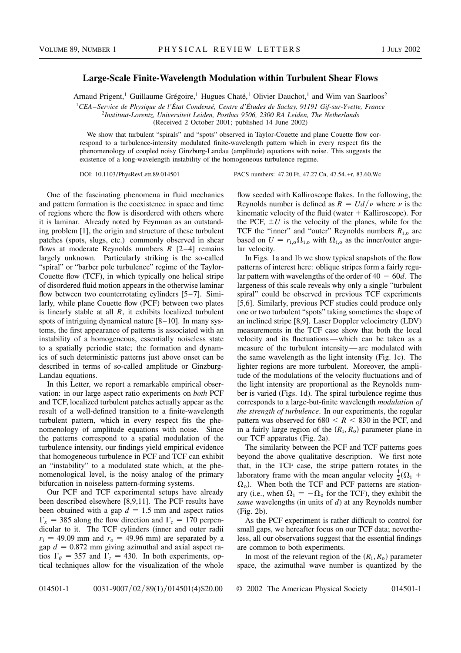## Large-Scale Finite-Wavelength Modulation within Turbulent Shear Flows

Arnaud Prigent,<sup>1</sup> Guillaume Grégoire,<sup>1</sup> Hugues Chaté,<sup>1</sup> Olivier Dauchot,<sup>1</sup> and Wim van Saarloos<sup>2</sup>

<sup>1</sup>CEA–Service de Physique de l'État Condensé, Centre d'Études de Saclay, 91191 Gif-sur-Yvette, France

<sup>2</sup>Instituut-Lorentz, Universiteit Leiden, Postbus 9506, 2300 RA Leiden, The Netherlands

(Received 2 October 2001; published 14 June 2002)

We show that turbulent "spirals" and "spots" observed in Taylor-Couette and plane Couette flow correspond to a turbulence-intensity modulated finite-wavelength pattern which in every respect fits the phenomenology of coupled noisy Ginzburg-Landau (amplitude) equations with noise. This suggests the existence of a long-wavelength instability of the homogeneous turbulence regime.

DOI: 10.1103/PhysRevLett.89.014501 PACS numbers: 47.20.Ft, 47.27.Cn, 47.54.+r, 83.60.Wc

One of the fascinating phenomena in fluid mechanics and pattern formation is the coexistence in space and time of regions where the flow is disordered with others where it is laminar. Already noted by Feynman as an outstanding problem [1], the origin and structure of these turbulent patches (spots, slugs, etc.) commonly observed in shear flows at moderate Reynolds numbers  $R$  [2–4] remains largely unknown. Particularly striking is the so-called "spiral" or "barber pole turbulence" regime of the Taylor-Couette flow (TCF), in which typically one helical stripe of disordered fluid motion appears in the otherwise laminar flow between two counterrotating cylinders [5–7]. Similarly, while plane Couette flow (PCF) between two plates is linearly stable at all  $R$ , it exhibits localized turbulent spots of intriguing dynamical nature [8–10]. In many systems, the first appearance of patterns is associated with an instability of a homogeneous, essentially noiseless state to a spatially periodic state; the formation and dynamics of such deterministic patterns just above onset can be described in terms of so-called amplitude or Ginzburg-Landau equations.

In this Letter, we report a remarkable empirical observation: in our large aspect ratio experiments on both PCF and TCF, localized turbulent patches actually appear as the result of a well-defined transition to a finite-wavelength turbulent pattern, which in every respect fits the phenomenology of amplitude equations with noise. Since the patterns correspond to a spatial modulation of the turbulence intensity, our findings yield empirical evidence that homogeneous turbulence in PCF and TCF can exhibit an "instability" to a modulated state which, at the phenomenological level, is the noisy analog of the primary bifurcation in noiseless pattern-forming systems.

Our PCF and TCF experimental setups have already been described elsewhere [8,9,11]. The PCF results have been obtained with a gap  $d = 1.5$  mm and aspect ratios  $\Gamma_x = 385$  along the flow direction and  $\Gamma_z = 170$  perpendicular to it. The TCF cylinders (inner and outer radii  $r_i = 49.09$  mm and  $r_o = 49.96$  mm) are separated by a gap  $d = 0.872$  mm giving azimuthal and axial aspect ratios  $\Gamma_{\theta} = 357$  and  $\Gamma_{z} = 430$ . In both experiments, optical techniques allow for the visualization of the whole

flow seeded with Kalliroscope flakes. In the following, the Reynolds number is defined as  $R = U d/\nu$  where  $\nu$  is the kinematic velocity of the fluid (water  $+$  Kalliroscope). For the PCF,  $\pm U$  is the velocity of the planes, while for the TCF the "inner" and "outer" Reynolds numbers  $R_{i,o}$  are based on  $U = r_{i,o} \Omega_{i,o}$  with  $\Omega_{i,o}$  as the inner/outer angular velocity.

In Figs. 1a and 1b we show typical snapshots of the flow patterns of interest here: oblique stripes form a fairly regular pattern with wavelengths of the order of  $40 - 60d$ . The largeness of this scale reveals why only a single "turbulent spiral" could be observed in previous TCF experiments [5,6]. Similarly, previous PCF studies could produce only one or two turbulent "spots" taking sometimes the shape of an inclined stripe [8,9]. Laser Doppler velocimetry (LDV) measurements in the TCF case show that both the local velocity and its fluctuations—which can be taken as a measure of the turbulent intensity—are modulated with the same wavelength as the light intensity (Fig. 1c). The lighter regions are more turbulent. Moreover, the amplitude of the modulations of the velocity fluctuations and of the light intensity are proportional as the Reynolds number is varied (Figs. 1d). The spiral turbulence regime thus corresponds to a large-but-finite wavelength modulation of the strength of turbulence. In our experiments, the regular pattern was observed for  $680 < R < 830$  in the PCF, and in a fairly large region of the  $(R<sub>i</sub>, R<sub>o</sub>)$  parameter plane in our TCF apparatus (Fig. 2a).

The similarity between the PCF and TCF patterns goes beyond the above qualitative description. We first note that, in the TCF case, the stripe pattern rotates in the laboratory frame with the mean angular velocity  $\frac{1}{2}(\Omega_i +$  $\Omega_{\rm o}$ ). When both the TCF and PCF patterns are stationary (i.e., when  $\Omega_i = -\Omega_0$  for the TCF), they exhibit the same wavelengths (in units of  $d$ ) at any Reynolds number (Fig. 2b).

As the PCF experiment is rather difficult to control for small gaps, we hereafter focus on our TCF data; nevertheless, all our observations suggest that the essential findings are common to both experiments.

In most of the relevant region of the  $(R_i, R_o)$  parameter space, the azimuthal wave number is quantized by the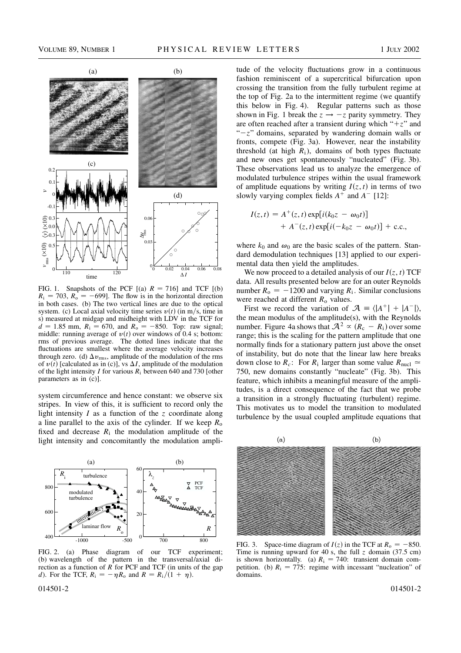

FIG. 1. Snapshots of the PCF  $[(a) \ R = 716]$  and TCF  $[(b)$  $R_i = 703$ ,  $R_0 = -699$ . The flow is in the horizontal direction in both cases. (b) The two vertical lines are due to the optical system. (c) Local axial velocity time series  $v(t)$  (in m/s, time in s) measured at midgap and midheight with LDV in the TCF for  $d = 1.85$  mm,  $R_i = 670$ , and  $R_o = -850$ . Top: raw signal; middle: running average of  $v(t)$  over windows of 0.4 s; bottom: rms of previous average. The dotted lines indicate that the fluctuations are smallest where the average velocity increases through zero. (d)  $\Delta v_{\rm rms}$ , amplitude of the modulation of the rms of  $v(t)$  [calculated as in (c)], vs  $\Delta I$ , amplitude of the modulation of the light intensity I for various  $R_i$  between 640 and 730 [other parameters as in (c)].

system circumference and hence constant: we observe six stripes. In view of this, it is sufficient to record only the light intensity  $I$  as a function of the  $z$  coordinate along a line parallel to the axis of the cylinder. If we keep  $R_0$ fixed and decrease  $R_i$  the modulation amplitude of the light intensity and concomitantly the modulation ampli-



FIG. 2. (a) Phase diagram of our TCF experiment; (b) wavelength of the pattern in the transversal/axial direction as a function of  $\overline{R}$  for PCF and TCF (in units of the gap d). For the TCF,  $R_i = -\eta R_o$  and  $R = R_i/(\dot{1} + \eta)$ .

tude of the velocity fluctuations grow in a continuous fashion reminiscent of a supercritical bifurcation upon crossing the transition from the fully turbulent regime at the top of Fig. 2a to the intermittent regime (we quantify this below in Fig. 4). Regular patterns such as those shown in Fig. 1 break the  $z \rightarrow -z$  parity symmetry. They are often reached after a transient during which " $+z$ " and " $-z$ " domains, separated by wandering domain walls or fronts, compete (Fig. 3a). However, near the instability threshold (at high  $R_i$ ), domains of both types fluctuate and new ones get spontaneously "nucleated" (Fig. 3b). These observations lead us to analyze the emergence of modulated turbulence stripes within the usual framework of amplitude equations by writing  $I(z, t)$  in terms of two slowly varying complex fields  $A^+$  and  $A^-$  [12]:

$$
I(z,t) = A^{+}(z,t) \exp[i(k_0 z - \omega_0 t)] + A^{-}(z,t) \exp[i(-k_0 z - \omega_0 t)] + \text{c.c.},
$$

where  $k_0$  and  $\omega_0$  are the basic scales of the pattern. Standard demodulation techniques [13] applied to our experimental data then yield the amplitudes.

We now proceed to a detailed analysis of our  $I(z, t)$  TCF data. All results presented below are for an outer Reynolds number  $R_0 = -1200$  and varying  $R_i$ . Similar conclusions were reached at different  $R_0$  values.

First we record the variation of  $\mathcal{A} = \langle |A^+| + |A^-| \rangle$ , the mean modulus of the amplitude(s), with the Reynolds number. Figure 4a shows that  $\mathcal{A}^2 \propto (R_c - R_i)$  over some range; this is the scaling for the pattern amplitude that one normally finds for a stationary pattern just above the onset of instability, but do note that the linear law here breaks down close to  $R_c$ : For  $R_i$  larger than some value  $R_{\text{nucl}} \simeq$ 750, new domains constantly "nucleate" (Fig. 3b). This feature, which inhibits a meaningful measure of the amplitudes, is a direct consequence of the fact that we probe a transition in a strongly fluctuating (turbulent) regime. This motivates us to model the transition to modulated turbulence by the usual coupled amplitude equations that



FIG. 3. Space-time diagram of  $I(z)$  in the TCF at  $R_0 = -850$ . Time is running upward for 40 s, the full z domain  $(37.5 \text{ cm})$ is shown horizontally. (a)  $R_i = 740$ : transient domain competition. (b)  $R_i = 775$ : regime with incessant "nucleation" of domains.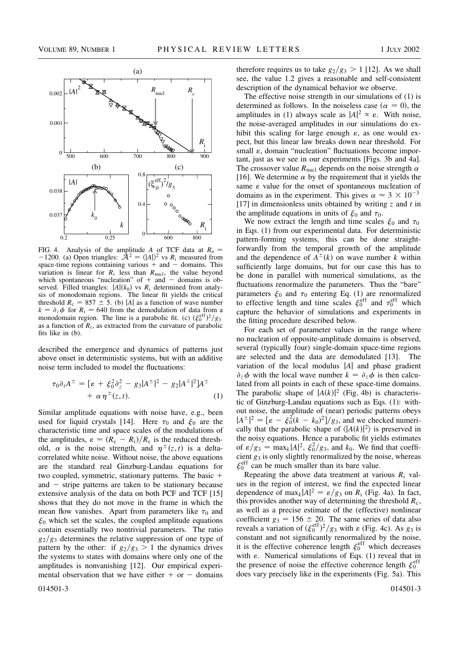

FIG. 4. Analysis of the amplitude A of TCF data at  $R_0$  = -1200. (a) Open triangles:  $\hat{A}^2 = \langle |A| \rangle^2$  vs  $R_i$  measured from space-time regions containing various  $+$  and  $-$  domains. This variation is linear for  $R_i$  less than  $R_{\text{nucl}}$ , the value beyond which spontaneous "nucleation" of  $+$  and  $-$  domains is observed. Filled triangles:  $|A|(k_0)$  vs  $R_i$  determined from analysis of monodomain regions. The linear fit yields the critical threshold  $R_c = 857 \pm 5$ . (b) |A| as a function of wave number  $k = \partial_z \phi$  for  $R_i = 640$  from the demodulation of data from a monodomain region. The line is a parabolic fit. (c)  $(\xi_0^{\text{eff}})^2/g_3$ as a function of  $R_i$ , as extracted from the curvature of parabolic fits like in (b).

described the emergence and dynamics of patterns just above onset in deterministic systems, but with an additive noise term included to model the fluctuations:

$$
\tau_0 \partial_t A^{\pm} = [\varepsilon + \xi_0^2 \partial_z^2 - g_3 |A^{\pm}|^2 - g_2 |A^{\mp}|^2] A^{\pm} + \alpha \eta^{\pm}(z, t).
$$
 (1)

Similar amplitude equations with noise have, e.g., been used for liquid crystals [14]. Here  $\tau_0$  and  $\xi_0$  are the characteristic time and space scales of the modulations of the amplitudes,  $\varepsilon = (R_c - R_i)/R_c$  is the reduced threshold,  $\alpha$  is the noise strength, and  $\eta^{\pm}(z,t)$  is a deltacorrelated white noise. Without noise, the above equations are the standard real Ginzburg-Landau equations for two coupled, symmetric, stationary patterns. The basic  $+$ and  $-$  stripe patterns are taken to be stationary because extensive analysis of the data on both PCF and TCF [15] shows that they do not move in the frame in which the mean flow vanishes. Apart from parameters like  $\tau_0$  and  $\xi_0$  which set the scales, the coupled amplitude equations contain essentially two nontrivial parameters. The ratio  $g_2/g_3$  determines the relative suppression of one type of pattern by the other: if  $g_2/g_3 > 1$  the dynamics drives the systems to states with domains where only one of the amplitudes is nonvanishing [12]. Our empirical experimental observation that we have either  $+$  or  $-$  domains

therefore requires us to take  $g_2/g_3 > 1$  [12]. As we shall see, the value 1.2 gives a reasonable and self-consistent description of the dynamical behavior we observe.

The effective noise strength in our simulations of (1) is determined as follows. In the noiseless case ( $\alpha = 0$ ), the amplitudes in (1) always scale as  $|A|^2 \propto \varepsilon$ . With noise, the noise-averaged amplitudes in our simulations do exhibit this scaling for large enough  $\varepsilon$ , as one would expect, but this linear law breaks down near threshold. For small  $\varepsilon$ , domain "nucleation" fluctuations become important, just as we see in our experiments [Figs. 3b and 4a]. The crossover value  $R_{\text{nucl}}$  depends on the noise strength  $\alpha$ [16]. We determine  $\alpha$  by the requirement that it yields the same  $\varepsilon$  value for the onset of spontaneous nucleation of domains as in the experiment. This gives  $\alpha \approx 3 \times 10^{-3}$ [17] in dimensionless units obtained by writing  $\zeta$  and  $t$  in the amplitude equations in units of  $\xi_0$  and  $\tau_0$ .

We now extract the length and time scales  $\xi_0$  and  $\tau_0$ in Eqs. (1) from our experimental data. For deterministic pattern-forming systems, this can be done straightforwardly from the temporal growth of the amplitude and the dependence of  $A^{\pm}(k)$  on wave number k within sufficiently large domains, but for our case this has to be done in parallel with numerical simulations, as the fluctuations renormalize the parameters. Thus the "bare" parameters  $\xi_0$  and  $\tau_0$  entering Eq. (1) are renormalized to effective length and time scales  $\xi_0^{\text{eff}}$  and  $\tau_0^{\text{eff}}$  which capture the behavior of simulations and experiments in the fitting procedure described below.

For each set of parameter values in the range where no nucleation of opposite-amplitude domains is observed, several (typically four) single-domain space-time regions are selected and the data are demodulated [13]. The variation of the local modulus  $|A|$  and phase gradient  $\partial_z \phi$  with the local wave number  $k = \partial_z \phi$  is then calculated from all points in each of these space-time domains. The parabolic shape of  $|A(k)|^2$  (Fig. 4b) is characteristic of Ginzburg-Landau equations such as Eqs. (1): without noise, the amplitude of (near) periodic patterns obeys  $|A^{\pm}|^2 = \left[\varepsilon - \xi_0^2 (k - k_0)^2\right] / g_3$ , and we checked numerically that the parabolic shape of  $\langle |A(k)|^2 \rangle$  is preserved in the noisy equations. Hence a parabolic fit yields estimates of  $\varepsilon/g_3 = \max_k |A|^2$ ,  $\xi_0^2/g_3$ , and  $k_0$ . We find that coefficient  $g_3$  is only slightly renormalized by the noise, whereas  $\xi_0^{\text{eff}}$  can be much smaller than its bare value.

Repeating the above data treatment at various  $R_i$  values in the region of interest, we find the expected linear dependence of  $\max_k |A|^2 = \varepsilon/g_3$  on  $R_i$  (Fig. 4a). In fact, this provides another way of determining the threshold  $R_c$ , as well as a precise estimate of the (effective) nonlinear coefficient  $g_3 = 156 \pm 20$ . The same series of data also reveals a variation of  $(\xi_0^{\text{eff}})^2/g_3$  with  $\varepsilon$  (Fig. 4c). As  $g_3$  is constant and not significantly renormalized by the noise, it is the effective coherence length  $\xi_0^{\text{eff}}$  which decreases with  $\varepsilon$ . Numerical simulations of Eqs. (1) reveal that in the presence of noise the effective coherence length  $\xi_0^{\text{eff}}$ does vary precisely like in the experiments (Fig. 5a). This